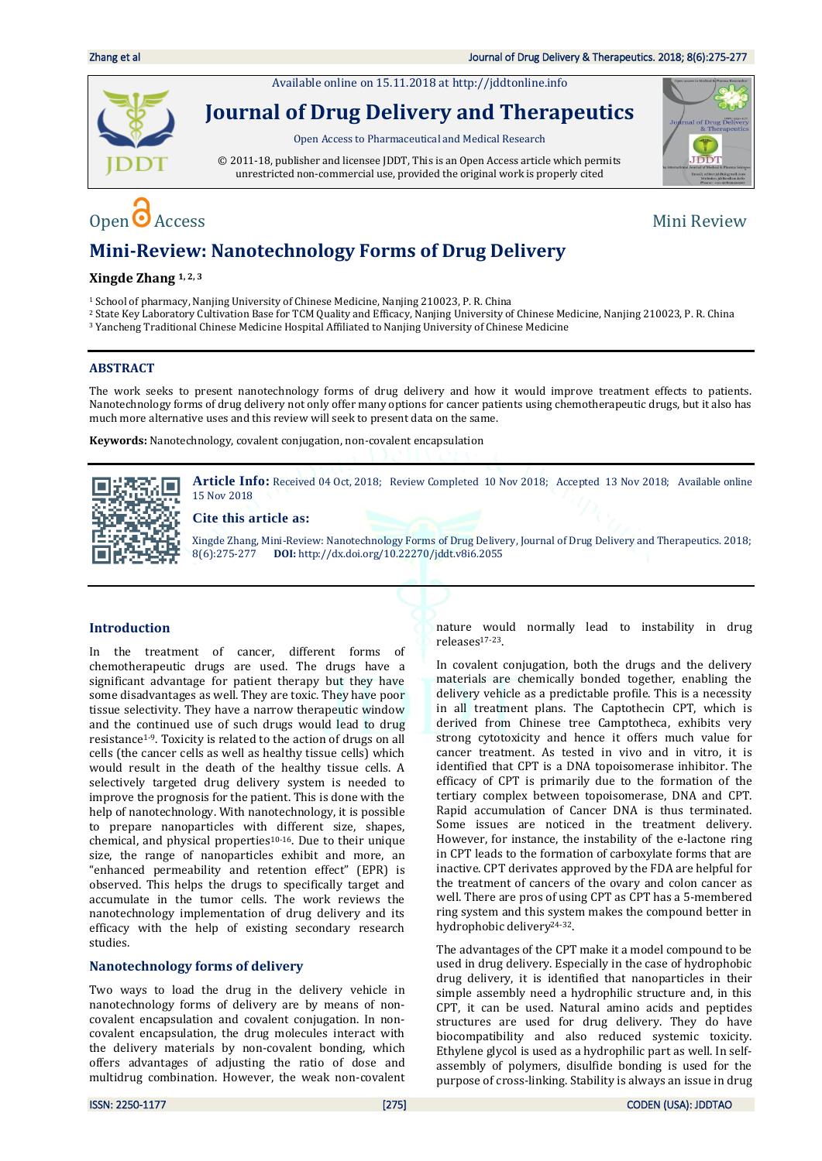Available online on 15.11.2018 a[t http://jddtonline.info](http://jddtonline.info/)



**Journal of Drug Delivery and Therapeutics**

Open Access to Pharmaceutical and Medical Research

© 2011-18, publisher and licensee JDDT, This is an Open Access article which permits unrestricted non-commercial use, provided the original work is properly cited



# Open  $\bullet$  Access Mini Review

## **Mini-Review: Nanotechnology Forms of Drug Delivery**

### **Xingde Zhang 1, 2, 3**

<sup>1</sup> School of pharmacy, Nanjing University of Chinese Medicine, Nanjing 210023, P. R. China

- <sup>2</sup> State Key Laboratory Cultivation Base for TCM Quality and Efficacy, Nanjing University of Chinese Medicine, Nanjing 210023, P. R. China
- <sup>3</sup> Yancheng Traditional Chinese Medicine Hospital Affiliated to Nanjing University of Chinese Medicine

### **ABSTRACT**

The work seeks to present nanotechnology forms of drug delivery and how it would improve treatment effects to patients. Nanotechnology forms of drug delivery not only offer many options for cancer patients using chemotherapeutic drugs, but it also has much more alternative uses and this review will seek to present data on the same.

**Keywords:** Nanotechnology, covalent conjugation, non-covalent encapsulation



Article Info: Received 04 Oct, 2018; Review Completed 10 Nov 2018; Accepted 13 Nov 2018; Available online 15 Nov 2018

### **Cite this article as:**

Xingde Zhang, Mini-Review: Nanotechnology Forms of Drug Delivery, Journal of Drug Delivery and Therapeutics. 2018; 8(6):275-277 **DOI:** <http://dx.doi.org/10.22270/jddt.v8i6.2055>

#### **Introduction**

In the treatment of cancer, different forms of chemotherapeutic drugs are used. The drugs have a significant advantage for patient therapy but they have some disadvantages as well. They are toxic. They have poor tissue selectivity. They have a narrow therapeutic window and the continued use of such drugs would lead to drug resistance1-9. Toxicity is related to the action of drugs on all cells (the cancer cells as well as healthy tissue cells) which would result in the death of the healthy tissue cells. A selectively targeted drug delivery system is needed to improve the prognosis for the patient. This is done with the help of nanotechnology. With nanotechnology, it is possible to prepare nanoparticles with different size, shapes, chemical, and physical properties10-16. Due to their unique size, the range of nanoparticles exhibit and more, an "enhanced permeability and retention effect" (EPR) is observed. This helps the drugs to specifically target and accumulate in the tumor cells. The work reviews the nanotechnology implementation of drug delivery and its efficacy with the help of existing secondary research studies.

#### **Nanotechnology forms of delivery**

Two ways to load the drug in the delivery vehicle in nanotechnology forms of delivery are by means of noncovalent encapsulation and covalent conjugation. In noncovalent encapsulation, the drug molecules interact with the delivery materials by non-covalent bonding, which offers advantages of adjusting the ratio of dose and multidrug combination. However, the weak non-covalent nature would normally lead to instability in drug releases17-23.

In covalent conjugation, both the drugs and the delivery materials are chemically bonded together, enabling the delivery vehicle as a predictable profile. This is a necessity in all treatment plans. The Captothecin CPT, which is derived from Chinese tree Camptotheca, exhibits very strong cytotoxicity and hence it offers much value for cancer treatment. As tested in vivo and in vitro, it is identified that CPT is a DNA topoisomerase inhibitor. The efficacy of CPT is primarily due to the formation of the tertiary complex between topoisomerase, DNA and CPT. Rapid accumulation of Cancer DNA is thus terminated. Some issues are noticed in the treatment delivery. However, for instance, the instability of the e-lactone ring in CPT leads to the formation of carboxylate forms that are inactive. CPT derivates approved by the FDA are helpful for the treatment of cancers of the ovary and colon cancer as well. There are pros of using CPT as CPT has a 5-membered ring system and this system makes the compound better in hydrophobic delivery24-32.

The advantages of the CPT make it a model compound to be used in drug delivery. Especially in the case of hydrophobic drug delivery, it is identified that nanoparticles in their simple assembly need a hydrophilic structure and, in this CPT, it can be used. Natural amino acids and peptides structures are used for drug delivery. They do have biocompatibility and also reduced systemic toxicity. Ethylene glycol is used as a hydrophilic part as well. In selfassembly of polymers, disulfide bonding is used for the purpose of cross-linking. Stability is always an issue in drug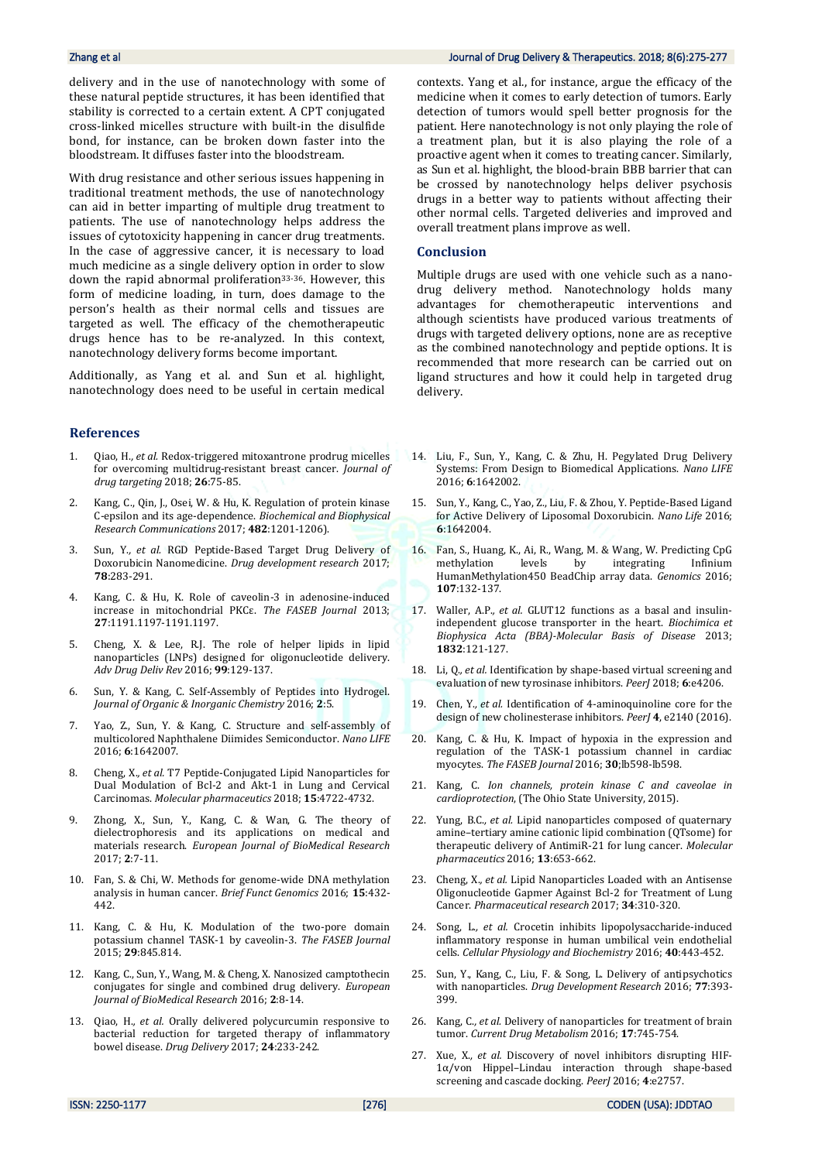delivery and in the use of nanotechnology with some of these natural peptide structures, it has been identified that stability is corrected to a certain extent. A CPT conjugated cross-linked micelles structure with built-in the disulfide bond, for instance, can be broken down faster into the bloodstream. It diffuses faster into the bloodstream.

With drug resistance and other serious issues happening in traditional treatment methods, the use of nanotechnology can aid in better imparting of multiple drug treatment to patients. The use of nanotechnology helps address the issues of cytotoxicity happening in cancer drug treatments. In the case of aggressive cancer, it is necessary to load much medicine as a single delivery option in order to slow down the rapid abnormal proliferation33-36. However, this form of medicine loading, in turn, does damage to the person's health as their normal cells and tissues are targeted as well. The efficacy of the chemotherapeutic drugs hence has to be re-analyzed. In this context, nanotechnology delivery forms become important.

Additionally, as Yang et al. and Sun et al. highlight, nanotechnology does need to be useful in certain medical

#### **References**

- 1. Qiao, H.*, et al.* Redox-triggered mitoxantrone prodrug micelles for overcoming multidrug-resistant breast cancer. *Journal of drug targeting* 2018; **26**:75-85.
- 2. Kang, C., Qin, J., Osei, W. & Hu, K. Regulation of protein kinase C-epsilon and its age-dependence. *Biochemical and Biophysical Research Communications* 2017; **482**:1201-1206).
- 3. Sun, Y.*, et al.* RGD Peptide‐Based Target Drug Delivery of Doxorubicin Nanomedicine. *Drug development research* 2017; **78**:283-291.
- 4. Kang, C. & Hu, K. Role of caveolin-3 in adenosine-induced increase in mitochondrial PKCε. *The FASEB Journal* 2013; **27**:1191.1197-1191.1197.
- 5. Cheng, X. & Lee, R.J. The role of helper lipids in lipid nanoparticles (LNPs) designed for oligonucleotide delivery. *Adv Drug Deliv Rev* 2016; **99**:129-137.
- 6. Sun, Y. & Kang, C. Self-Assembly of Peptides into Hydrogel. *Journal of Organic & Inorganic Chemistry* 2016; **2**:5.
- 7. Yao, Z., Sun, Y. & Kang, C. Structure and self-assembly of multicolored Naphthalene Diimides Semiconductor. *Nano LIFE* 2016; **6**:1642007.
- 8. Cheng, X.*, et al.* T7 Peptide-Conjugated Lipid Nanoparticles for Dual Modulation of Bcl-2 and Akt-1 in Lung and Cervical Carcinomas. *Molecular pharmaceutics* 2018; **15**:4722-4732.
- 9. Zhong, X., Sun, Y., Kang, C. & Wan, G. The theory of dielectrophoresis and its applications on medical and materials research. *European Journal of BioMedical Research* 2017; **2**:7-11.
- 10. Fan, S. & Chi, W. Methods for genome-wide DNA methylation analysis in human cancer. *Brief Funct Genomics* 2016; **15**:432- 442.
- 11. Kang, C. & Hu, K. Modulation of the two-pore domain potassium channel TASK-1 by caveolin-3. *The FASEB Journal* 2015; **29**:845.814.
- 12. Kang, C., Sun, Y., Wang, M. & Cheng, X. Nanosized camptothecin conjugates for single and combined drug delivery. *European Journal of BioMedical Research* 2016; **2**:8-14.
- 13. Qiao, H.*, et al.* Orally delivered polycurcumin responsive to bacterial reduction for targeted therapy of inflammatory bowel disease. *Drug Delivery* 2017; **24**:233-242.

#### Zhang et al Journal of Drug Delivery & Therapeutics. 2018; 8(6):275-277

contexts. Yang et al., for instance, argue the efficacy of the medicine when it comes to early detection of tumors. Early detection of tumors would spell better prognosis for the patient. Here nanotechnology is not only playing the role of a treatment plan, but it is also playing the role of a proactive agent when it comes to treating cancer. Similarly, as Sun et al. highlight, the blood-brain BBB barrier that can be crossed by nanotechnology helps deliver psychosis drugs in a better way to patients without affecting their other normal cells. Targeted deliveries and improved and overall treatment plans improve as well.

#### **Conclusion**

Multiple drugs are used with one vehicle such as a nanodrug delivery method. Nanotechnology holds many advantages for chemotherapeutic interventions and although scientists have produced various treatments of drugs with targeted delivery options, none are as receptive as the combined nanotechnology and peptide options. It is recommended that more research can be carried out on ligand structures and how it could help in targeted drug delivery.

- 14. Liu, F., Sun, Y., Kang, C. & Zhu, H. Pegylated Drug Delivery Systems: From Design to Biomedical Applications. *Nano LIFE* 2016; **6**:1642002.
- 15. Sun, Y., Kang, C., Yao, Z., Liu, F. & Zhou, Y. Peptide-Based Ligand for Active Delivery of Liposomal Doxorubicin. *Nano Life* 2016; **6**:1642004.
- 16. Fan, S., Huang, K., Ai, R., Wang, M. & Wang, W. Predicting CpG methylation levels by integrating Infinium HumanMethylation450 BeadChip array data. *Genomics* 2016; **107**:132-137.
- 17. Waller, A.P.*, et al.* GLUT12 functions as a basal and insulinindependent glucose transporter in the heart. *Biochimica et Biophysica Acta (BBA)-Molecular Basis of Disease* 2013; **1832**:121-127.
- 18. Li, Q.*, et al.* Identification by shape-based virtual screening and evaluation of new tyrosinase inhibitors. *PeerJ* 2018; **6**:e4206.
- 19. Chen, Y.*, et al.* Identification of 4-aminoquinoline core for the design of new cholinesterase inhibitors. *PeerJ* **4**, e2140 (2016).
- 20. Kang, C. & Hu, K. Impact of hypoxia in the expression and regulation of the TASK-1 potassium channel in cardiac myocytes. *The FASEB Journal* 2016; **30**;lb598-lb598.
- 21. Kang, C. *Ion channels, protein kinase C and caveolae in cardioprotection*, (The Ohio State University, 2015).
- 22. Yung, B.C.*, et al.* Lipid nanoparticles composed of quaternary amine–tertiary amine cationic lipid combination (QTsome) for therapeutic delivery of AntimiR-21 for lung cancer. *Molecular pharmaceutics* 2016; **13**:653-662.
- 23. Cheng, X.*, et al.* Lipid Nanoparticles Loaded with an Antisense Oligonucleotide Gapmer Against Bcl-2 for Treatment of Lung Cancer. *Pharmaceutical research* 2017; **34**:310-320.
- 24. Song, L.*, et al.* Crocetin inhibits lipopolysaccharide-induced inflammatory response in human umbilical vein endothelial cells. *Cellular Physiology and Biochemistry* 2016; **40**:443-452.
- 25. Sun, Y., Kang, C., Liu, F. & Song, L. Delivery of antipsychotics with nanoparticles. *Drug Development Research* 2016; **77**:393- 399.
- 26. Kang, C.*, et al.* Delivery of nanoparticles for treatment of brain tumor. *Current Drug Metabolism* 2016; **17**:745-754.
- 27. Xue, X.*, et al.* Discovery of novel inhibitors disrupting HIF-1α/von Hippel–Lindau interaction through shape-based screening and cascade docking. *PeerJ* 2016; **4**:e2757.